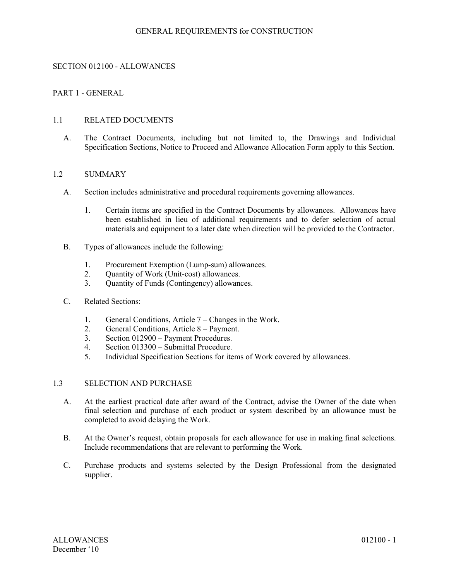### GENERAL REQUIREMENTS for CONSTRUCTION

### SECTION 012100 - ALLOWANCES

## PART 1 - GENERAL

### 1.1 RELATED DOCUMENTS

A. The Contract Documents, including but not limited to, the Drawings and Individual Specification Sections, Notice to Proceed and Allowance Allocation Form apply to this Section.

#### 1.2 SUMMARY

- A. Section includes administrative and procedural requirements governing allowances.
	- 1. Certain items are specified in the Contract Documents by allowances. Allowances have been established in lieu of additional requirements and to defer selection of actual materials and equipment to a later date when direction will be provided to the Contractor.
- B. Types of allowances include the following:
	- 1. Procurement Exemption (Lump-sum) allowances.<br>2. Ouantity of Work (Unit-cost) allowances.
	- Quantity of Work (Unit-cost) allowances.
	- 3. Quantity of Funds (Contingency) allowances.
- C. Related Sections:
	- 1. General Conditions, Article 7 Changes in the Work.
	- 2. General Conditions, Article 8 Payment.
	- 3. Section 012900 Payment Procedures.
	- 4. Section 013300 Submittal Procedure.
	- 5. Individual Specification Sections for items of Work covered by allowances.

### 1.3 SELECTION AND PURCHASE

- A. At the earliest practical date after award of the Contract, advise the Owner of the date when final selection and purchase of each product or system described by an allowance must be completed to avoid delaying the Work.
- B. At the Owner's request, obtain proposals for each allowance for use in making final selections. Include recommendations that are relevant to performing the Work.
- C. Purchase products and systems selected by the Design Professional from the designated supplier.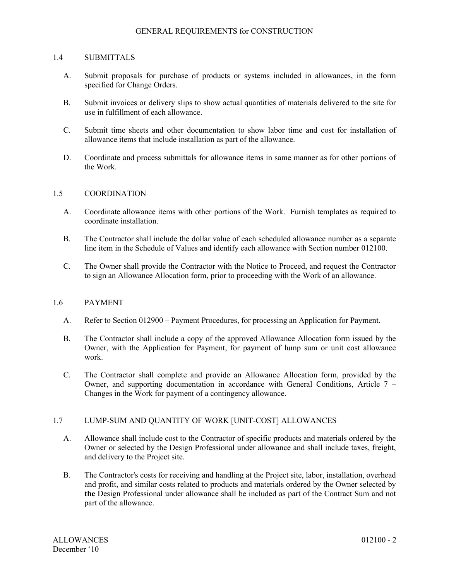### GENERAL REQUIREMENTS for CONSTRUCTION

#### 1.4 SUBMITTALS

- A. Submit proposals for purchase of products or systems included in allowances, in the form specified for Change Orders.
- B. Submit invoices or delivery slips to show actual quantities of materials delivered to the site for use in fulfillment of each allowance.
- C. Submit time sheets and other documentation to show labor time and cost for installation of allowance items that include installation as part of the allowance.
- D. Coordinate and process submittals for allowance items in same manner as for other portions of the Work.

### 1.5 COORDINATION

- A. Coordinate allowance items with other portions of the Work. Furnish templates as required to coordinate installation.
- B. The Contractor shall include the dollar value of each scheduled allowance number as a separate line item in the Schedule of Values and identify each allowance with Section number 012100.
- C. The Owner shall provide the Contractor with the Notice to Proceed, and request the Contractor to sign an Allowance Allocation form, prior to proceeding with the Work of an allowance.

#### 1.6 PAYMENT

- A. Refer to Section 012900 Payment Procedures, for processing an Application for Payment.
- B. The Contractor shall include a copy of the approved Allowance Allocation form issued by the Owner, with the Application for Payment, for payment of lump sum or unit cost allowance work.
- C. The Contractor shall complete and provide an Allowance Allocation form, provided by the Owner, and supporting documentation in accordance with General Conditions, Article 7 – Changes in the Work for payment of a contingency allowance.

## 1.7 LUMP-SUM AND QUANTITY OF WORK [UNIT-COST] ALLOWANCES

- A. Allowance shall include cost to the Contractor of specific products and materials ordered by the Owner or selected by the Design Professional under allowance and shall include taxes, freight, and delivery to the Project site.
- B. The Contractor's costs for receiving and handling at the Project site, labor, installation, overhead and profit, and similar costs related to products and materials ordered by the Owner selected by **the** Design Professional under allowance shall be included as part of the Contract Sum and not part of the allowance.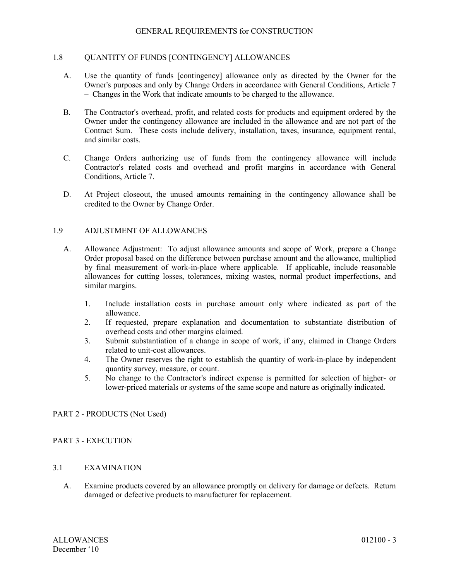### GENERAL REQUIREMENTS for CONSTRUCTION

### 1.8 QUANTITY OF FUNDS [CONTINGENCY] ALLOWANCES

- A. Use the quantity of funds [contingency] allowance only as directed by the Owner for the Owner's purposes and only by Change Orders in accordance with General Conditions, Article 7 – Changes in the Work that indicate amounts to be charged to the allowance.
- B. The Contractor's overhead, profit, and related costs for products and equipment ordered by the Owner under the contingency allowance are included in the allowance and are not part of the Contract Sum. These costs include delivery, installation, taxes, insurance, equipment rental, and similar costs.
- C. Change Orders authorizing use of funds from the contingency allowance will include Contractor's related costs and overhead and profit margins in accordance with General Conditions, Article 7.
- D. At Project closeout, the unused amounts remaining in the contingency allowance shall be credited to the Owner by Change Order.

### 1.9 ADJUSTMENT OF ALLOWANCES

- A. Allowance Adjustment: To adjust allowance amounts and scope of Work, prepare a Change Order proposal based on the difference between purchase amount and the allowance, multiplied by final measurement of work-in-place where applicable. If applicable, include reasonable allowances for cutting losses, tolerances, mixing wastes, normal product imperfections, and similar margins.
	- 1. Include installation costs in purchase amount only where indicated as part of the allowance.
	- 2. If requested, prepare explanation and documentation to substantiate distribution of overhead costs and other margins claimed.
	- 3. Submit substantiation of a change in scope of work, if any, claimed in Change Orders related to unit-cost allowances.
	- 4. The Owner reserves the right to establish the quantity of work-in-place by independent quantity survey, measure, or count.
	- 5. No change to the Contractor's indirect expense is permitted for selection of higher- or lower-priced materials or systems of the same scope and nature as originally indicated.

## PART 2 - PRODUCTS (Not Used)

## PART 3 - EXECUTION

# 3.1 EXAMINATION

A. Examine products covered by an allowance promptly on delivery for damage or defects. Return damaged or defective products to manufacturer for replacement.